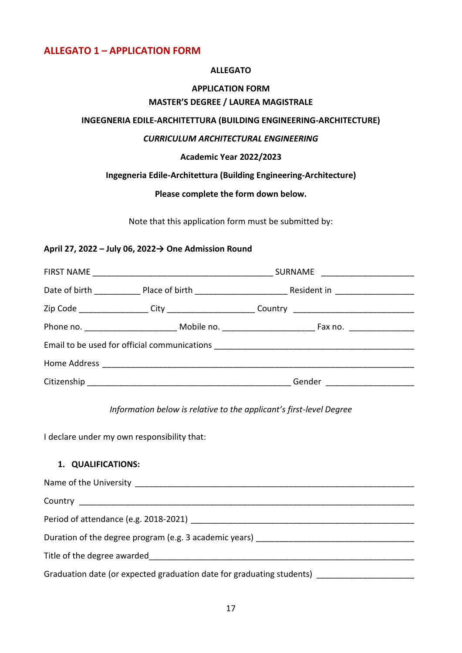## **ALLEGATO 1 – APPLICATION FORM**

#### **ALLEGATO**

## **APPLICATION FORM MASTER'S DEGREE / LAUREA MAGISTRALE**

#### **INGEGNERIA EDILE-ARCHITETTURA (BUILDING ENGINEERING-ARCHITECTURE)**

### *CURRICULUM ARCHITECTURAL ENGINEERING*

#### **Academic Year 2022/2023**

### **Ingegneria Edile-Architettura (Building Engineering-Architecture)**

#### **Please complete the form down below.**

Note that this application form must be submitted by:

#### **April 27, 2022 – July 06, 2022→ One Admission Round**

|  | Gender _______________________ |  |  |
|--|--------------------------------|--|--|

#### *Information below is relative to the applicant's first-level Degree*

I declare under my own responsibility that:

## **1. QUALIFICATIONS:**

| Duration of the degree program (e.g. 3 academic years) _________________________ |  |  |
|----------------------------------------------------------------------------------|--|--|
| Title of the degree awarded and the state of the degree awarded                  |  |  |
| Graduation date (or expected graduation date for graduating students)            |  |  |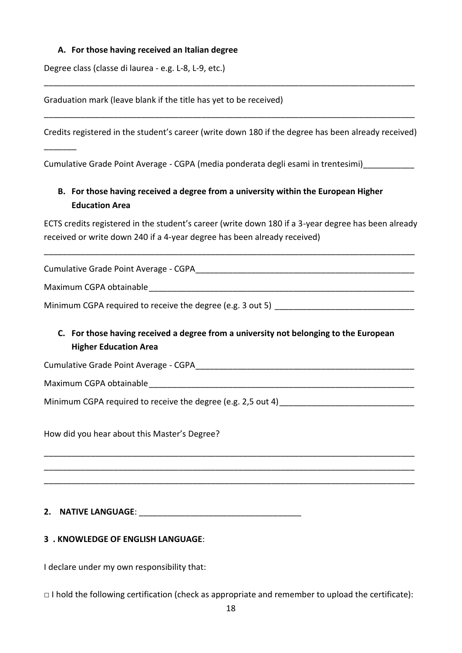## **A. For those having received an Italian degree**

Degree class (classe di laurea - e.g. L-8, L-9, etc.)

Graduation mark (leave blank if the title has yet to be received)

Credits registered in the student's career (write down 180 if the degree has been already received)

\_\_\_\_\_\_\_\_\_\_\_\_\_\_\_\_\_\_\_\_\_\_\_\_\_\_\_\_\_\_\_\_\_\_\_\_\_\_\_\_\_\_\_\_\_\_\_\_\_\_\_\_\_\_\_\_\_\_\_\_\_\_\_\_\_\_\_\_\_\_\_\_\_\_\_\_\_\_\_\_

\_\_\_\_\_\_\_\_\_\_\_\_\_\_\_\_\_\_\_\_\_\_\_\_\_\_\_\_\_\_\_\_\_\_\_\_\_\_\_\_\_\_\_\_\_\_\_\_\_\_\_\_\_\_\_\_\_\_\_\_\_\_\_\_\_\_\_\_\_\_\_\_\_\_\_\_\_\_\_\_

Cumulative Grade Point Average - CGPA (media ponderata degli esami in trentesimi)\_\_\_\_\_\_\_\_\_\_\_

# **B. For those having received a degree from a university within the European Higher Education Area**

ECTS credits registered in the student's career (write down 180 if a 3-year degree has been already received or write down 240 if a 4-year degree has been already received)

\_\_\_\_\_\_\_\_\_\_\_\_\_\_\_\_\_\_\_\_\_\_\_\_\_\_\_\_\_\_\_\_\_\_\_\_\_\_\_\_\_\_\_\_\_\_\_\_\_\_\_\_\_\_\_\_\_\_\_\_\_\_\_\_\_\_\_\_\_\_\_\_\_\_\_\_\_\_\_\_

Cumulative Grade Point Average - CGPA\_\_\_\_\_\_\_\_\_\_\_\_\_\_\_\_\_\_\_\_\_\_\_\_\_\_\_\_\_\_\_\_\_\_\_\_\_\_\_\_\_\_\_\_\_\_\_

Maximum CGPA obtainable

Minimum CGPA required to receive the degree (e.g. 3 out 5)

# **C. For those having received a degree from a university not belonging to the European Higher Education Area**

\_\_\_\_\_\_\_\_\_\_\_\_\_\_\_\_\_\_\_\_\_\_\_\_\_\_\_\_\_\_\_\_\_\_\_\_\_\_\_\_\_\_\_\_\_\_\_\_\_\_\_\_\_\_\_\_\_\_\_\_\_\_\_\_\_\_\_\_\_\_\_\_\_\_\_\_\_\_\_\_ \_\_\_\_\_\_\_\_\_\_\_\_\_\_\_\_\_\_\_\_\_\_\_\_\_\_\_\_\_\_\_\_\_\_\_\_\_\_\_\_\_\_\_\_\_\_\_\_\_\_\_\_\_\_\_\_\_\_\_\_\_\_\_\_\_\_\_\_\_\_\_\_\_\_\_\_\_\_\_\_ \_\_\_\_\_\_\_\_\_\_\_\_\_\_\_\_\_\_\_\_\_\_\_\_\_\_\_\_\_\_\_\_\_\_\_\_\_\_\_\_\_\_\_\_\_\_\_\_\_\_\_\_\_\_\_\_\_\_\_\_\_\_\_\_\_\_\_\_\_\_\_\_\_\_\_\_\_\_\_\_

Cumulative Grade Point Average - CGPA\_\_\_\_\_\_\_\_\_\_\_\_\_\_\_\_\_\_\_\_\_\_\_\_\_\_\_\_\_\_\_\_\_\_\_\_\_\_\_\_\_\_\_\_\_\_\_

Maximum CGPA obtainable\_\_\_\_\_\_\_\_\_\_\_\_\_\_\_\_\_\_\_\_\_\_\_\_\_\_\_\_\_\_\_\_\_\_\_\_\_\_\_\_\_\_\_\_\_\_\_\_\_\_\_\_\_\_\_\_\_

 $\overline{\phantom{a}}$ 

Minimum CGPA required to receive the degree (e.g. 2,5 out 4)

How did you hear about this Master's Degree?

## **2. NATIVE LANGUAGE**: \_\_\_\_\_\_\_\_\_\_\_\_\_\_\_\_\_\_\_\_\_\_\_\_\_\_\_\_\_\_\_\_\_\_\_

## **3 . KNOWLEDGE OF ENGLISH LANGUAGE**:

I declare under my own responsibility that:

□ I hold the following certification (check as appropriate and remember to upload the certificate):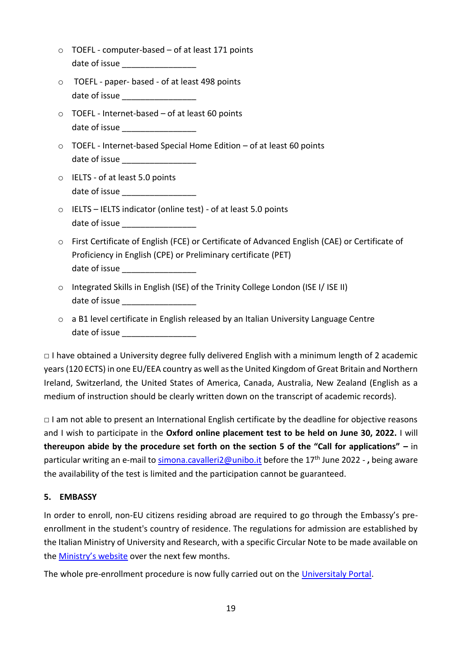- $\circ$  TOEFL computer-based of at least 171 points date of issue
- o TOEFL paper- based of at least 498 points date of issue
- o TOEFL Internet-based of at least 60 points date of issue **Languary** and the state of  $\overline{a}$
- $\circ$  TOEFL Internet-based Special Home Edition of at least 60 points date of issue **Languary 2018**
- o IELTS of at least 5.0 points date of issue \_\_\_\_\_\_\_\_\_\_\_\_\_\_\_\_
- o IELTS IELTS indicator (online test) of at least 5.0 points date of issue
- o First Certificate of English (FCE) or Certificate of Advanced English (CAE) or Certificate of Proficiency in English (CPE) or Preliminary certificate (PET) date of issue
- o Integrated Skills in English (ISE) of the Trinity College London (ISE I/ ISE II) date of issue
- o a B1 level certificate in English released by an Italian University Language Centre date of issue **Landale Strategies**

 $\Box$  I have obtained a University degree fully delivered English with a minimum length of 2 academic years (120 ECTS) in one EU/EEA country as well as the United Kingdom of Great Britain and Northern Ireland, Switzerland, the United States of America, Canada, Australia, New Zealand (English as a medium of instruction should be clearly written down on the transcript of academic records).

□ I am not able to present an International English certificate by the deadline for objective reasons and I wish to participate in the **Oxford online placement test to be held on June 30, 2022.** I will **thereupon abide by the procedure set forth on the section 5 of the "Call for applications" –** in particular writing an e-mail t[o simona.cavalleri2@unibo.it](mailto:simona.cavalleri2@unibo.it) before the 17<sup>th</sup> June 2022 -, being aware the availability of the test is limited and the participation cannot be guaranteed.

## **5. EMBASSY**

In order to enroll, non-EU citizens residing abroad are required to go through the Embassy's preenrollment in the student's country of residence. The regulations for admission are established by the Italian Ministry of University and Research, with a specific Circular Note to be made available on the [Ministry's website](http://www.studiare-in-italia.it/studentistranieri/) over the next few months.

The whole pre-enrollment procedure is now fully carried out on the [Universitaly Portal.](https://www.universitaly.it/index.php/students/stranieri)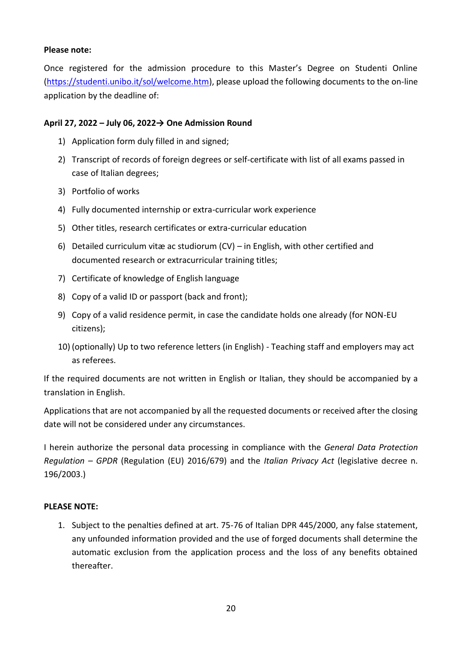### **Please note:**

Once registered for the admission procedure to this Master's Degree on Studenti Online [\(https://studenti.unibo.it/sol/welcome.htm\)](https://studenti.unibo.it/sol/welcome.htm), please upload the following documents to the on-line application by the deadline of:

## **April 27, 2022 – July 06, 2022→ One Admission Round**

- 1) Application form duly filled in and signed;
- 2) Transcript of records of foreign degrees or self-certificate with list of all exams passed in case of Italian degrees;
- 3) Portfolio of works
- 4) Fully documented internship or extra-curricular work experience
- 5) Other titles, research certificates or extra-curricular education
- 6) Detailed curriculum vitæ ac studiorum (CV) in English, with other certified and documented research or extracurricular training titles;
- 7) Certificate of knowledge of English language
- 8) Copy of a valid ID or passport (back and front);
- 9) Copy of a valid residence permit, in case the candidate holds one already (for NON-EU citizens);
- 10) (optionally) Up to two reference letters (in English) Teaching staff and employers may act as referees.

If the required documents are not written in English or Italian, they should be accompanied by a translation in English.

Applications that are not accompanied by all the requested documents or received after the closing date will not be considered under any circumstances.

I herein authorize the personal data processing in compliance with the *General Data Protection Regulation – GPDR* (Regulation (EU) 2016/679) and the *Italian Privacy Act* (legislative decree n. 196/2003.)

### **PLEASE NOTE:**

1. Subject to the penalties defined at art. 75-76 of Italian DPR 445/2000, any false statement, any unfounded information provided and the use of forged documents shall determine the automatic exclusion from the application process and the loss of any benefits obtained thereafter.